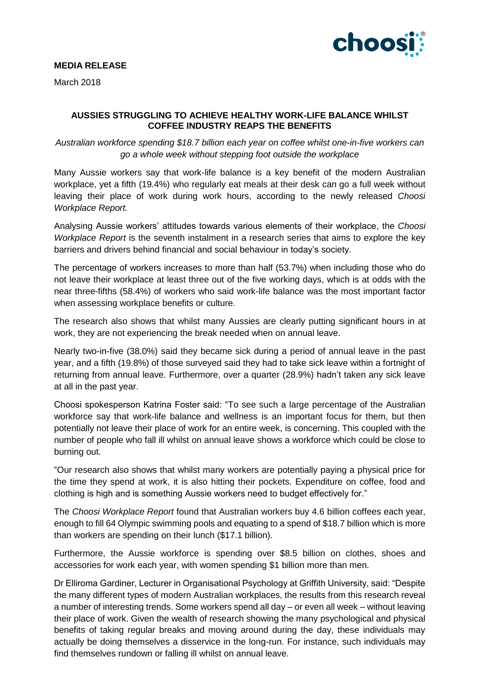

# **MEDIA RELEASE**

March 2018

## **AUSSIES STRUGGLING TO ACHIEVE HEALTHY WORK-LIFE BALANCE WHILST COFFEE INDUSTRY REAPS THE BENEFITS**

*Australian workforce spending \$18.7 billion each year on coffee whilst one-in-five workers can go a whole week without stepping foot outside the workplace*

Many Aussie workers say that work-life balance is a key benefit of the modern Australian workplace, yet a fifth (19.4%) who regularly eat meals at their desk can go a full week without leaving their place of work during work hours, according to the newly released *Choosi Workplace Report.*

Analysing Aussie workers' attitudes towards various elements of their workplace, the *Choosi Workplace Report* is the seventh instalment in a research series that aims to explore the key barriers and drivers behind financial and social behaviour in today's society.

The percentage of workers increases to more than half (53.7%) when including those who do not leave their workplace at least three out of the five working days, which is at odds with the near three-fifths (58.4%) of workers who said work-life balance was the most important factor when assessing workplace benefits or culture.

The research also shows that whilst many Aussies are clearly putting significant hours in at work, they are not experiencing the break needed when on annual leave.

Nearly two-in-five (38.0%) said they became sick during a period of annual leave in the past year, and a fifth (19.8%) of those surveyed said they had to take sick leave within a fortnight of returning from annual leave. Furthermore, over a quarter (28.9%) hadn't taken any sick leave at all in the past year.

Choosi spokesperson Katrina Foster said: "To see such a large percentage of the Australian workforce say that work-life balance and wellness is an important focus for them, but then potentially not leave their place of work for an entire week, is concerning. This coupled with the number of people who fall ill whilst on annual leave shows a workforce which could be close to burning out.

"Our research also shows that whilst many workers are potentially paying a physical price for the time they spend at work, it is also hitting their pockets. Expenditure on coffee, food and clothing is high and is something Aussie workers need to budget effectively for."

The *Choosi Workplace Report* found that Australian workers buy 4.6 billion coffees each year, enough to fill 64 Olympic swimming pools and equating to a spend of \$18.7 billion which is more than workers are spending on their lunch (\$17.1 billion).

Furthermore, the Aussie workforce is spending over \$8.5 billion on clothes, shoes and accessories for work each year, with women spending \$1 billion more than men.

Dr Elliroma Gardiner, Lecturer in Organisational Psychology at Griffith University, said: "Despite the many different types of modern Australian workplaces, the results from this research reveal a number of interesting trends. Some workers spend all day – or even all week – without leaving their place of work. Given the wealth of research showing the many psychological and physical benefits of taking regular breaks and moving around during the day, these individuals may actually be doing themselves a disservice in the long-run. For instance, such individuals may find themselves rundown or falling ill whilst on annual leave.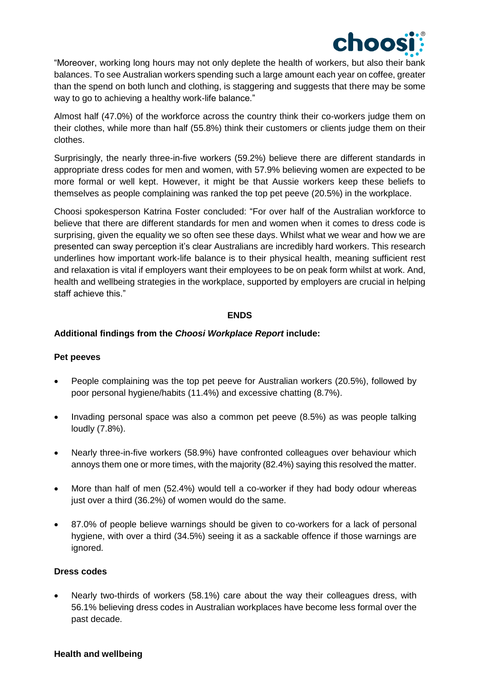

"Moreover, working long hours may not only deplete the health of workers, but also their bank balances. To see Australian workers spending such a large amount each year on coffee, greater than the spend on both lunch and clothing, is staggering and suggests that there may be some way to go to achieving a healthy work-life balance."

Almost half (47.0%) of the workforce across the country think their co-workers judge them on their clothes, while more than half (55.8%) think their customers or clients judge them on their clothes.

Surprisingly, the nearly three-in-five workers (59.2%) believe there are different standards in appropriate dress codes for men and women, with 57.9% believing women are expected to be more formal or well kept. However, it might be that Aussie workers keep these beliefs to themselves as people complaining was ranked the top pet peeve (20.5%) in the workplace.

Choosi spokesperson Katrina Foster concluded: "For over half of the Australian workforce to believe that there are different standards for men and women when it comes to dress code is surprising, given the equality we so often see these days. Whilst what we wear and how we are presented can sway perception it's clear Australians are incredibly hard workers. This research underlines how important work-life balance is to their physical health, meaning sufficient rest and relaxation is vital if employers want their employees to be on peak form whilst at work. And, health and wellbeing strategies in the workplace, supported by employers are crucial in helping staff achieve this."

#### **ENDS**

## **Additional findings from the** *Choosi Workplace Report* **include:**

#### **Pet peeves**

- People complaining was the top pet peeve for Australian workers (20.5%), followed by poor personal hygiene/habits (11.4%) and excessive chatting (8.7%).
- Invading personal space was also a common pet peeve (8.5%) as was people talking loudly (7.8%).
- Nearly three-in-five workers (58.9%) have confronted colleagues over behaviour which annoys them one or more times, with the majority (82.4%) saying this resolved the matter.
- More than half of men (52.4%) would tell a co-worker if they had body odour whereas just over a third (36.2%) of women would do the same.
- 87.0% of people believe warnings should be given to co-workers for a lack of personal hygiene, with over a third (34.5%) seeing it as a sackable offence if those warnings are ignored.

## **Dress codes**

• Nearly two-thirds of workers (58.1%) care about the way their colleagues dress, with 56.1% believing dress codes in Australian workplaces have become less formal over the past decade.

#### **Health and wellbeing**